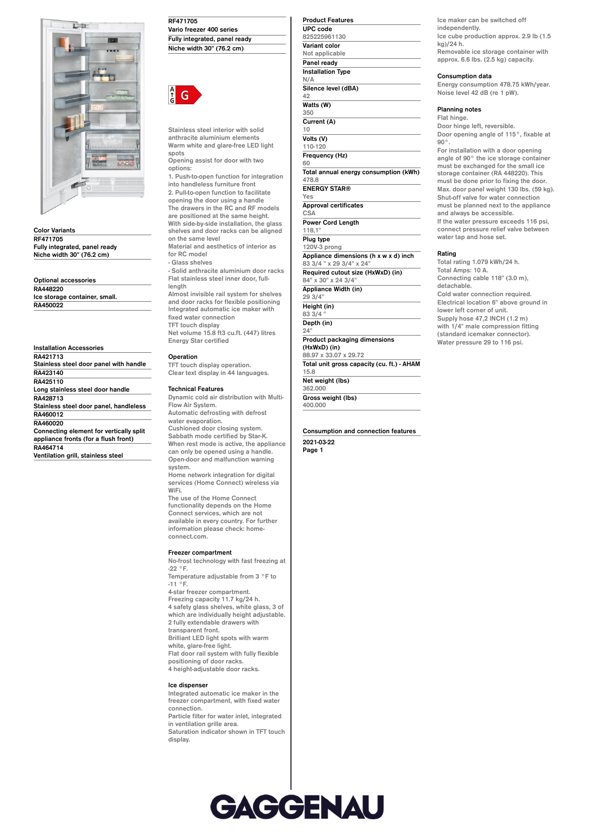

**Color Variants RF471705 Fully integrated, panel ready Niche width 30" (76.2 cm)**

**Optional accessories RA448220 Ice storage container, small. RA450022**

**Installation Accessories RA421713 Stainless steel door panel with handle RA423140 RA425110 Long stainless steel door handle RA428713 Stainless steel door panel, handleless RA460012 RA460020 Connecting element for vertically split appliance fronts (for a flush front) RA464714 Ventilation grill, stainless steel**

**RF471705 Vario freezer 400 series Fully integrated, panel ready Niche width 30" (76.2 cm)**



**Stainless steel interior with solid anthracite aluminium elements Warm white and glare-free LED light spots Opening assist for door with two**

**options:**

**1. Push-to-open function for integration into handleless furniture front 2. Pull-to-open function to facilitate opening the door using a handle The drawers in the RC and RF models are positioned at the same height. With side-by-side installation, the glass shelves and door racks can be aligned on the same level Material and aesthetics of interior as**

**for RC model**

**- Glass shelves - Solid anthracite aluminium door racks Flat stainless steel inner door, fulllength Almost invisible rail system for shelves and door racks for flexible positioning**

**Integrated automatic ice maker with fixed water connection TFT touch display Net volume 15.8 ft3 cu.ft. (447) litres Energy Star certified**

## **Operation**

**TFT touch display operation. Clear text display in 44 languages.**

### **Technical Features**

**Dynamic cold air distribution with Multi-Flow Air System.**

**Automatic defrosting with defrost water evaporation. Cushioned door closing system. Sabbath mode certified by Star-K. When rest mode is active, the appliance can only be opened using a handle. Open-door and malfunction warning system.**

**Home network integration for digital services (Home Connect) wireless via WiFi.**

**The use of the Home Connect functionality depends on the Home Connect services, which are not available in every country. For further information please check: homeconnect.com.**

#### **Freezer compartment**

**No-frost technology with fast freezing at -22 °F. Temperature adjustable from 3 °F to -11 °F. 4-star freezer compartment. Freezing capacity 11.7 kg/24 h. 4 safety glass shelves, white glass, 3 of which are individually height adjustable. 2 fully extendable drawers with transparent front. Brilliant LED light spots with warm white, glare-free light. Flat door rail system with fully flexible positioning of door racks. 4 height-adjustable door racks.**

#### **Ice dispenser**

**Integrated automatic ice maker in the freezer compartment, with fixed water connection. Particle filter for water inlet, integrated in ventilation grille area. Saturation indicator shown in TFT touch display.**

**Product Features UPC code 825225961130 Variant color Not applicable Panel ready Installation Type N/A Silence level (dBA) 42 Watts (W) 350 Current (A) 10 Volts (V) 110-120 Frequency (Hz) 60 Total annual energy consumption (kWh) 478.8 ENERGY STAR® Yes Approval certificates CSA Power Cord Length 118,1" Plug type 120V-3 prong Appliance dimensions (h x w x d) inch 83 3/4 " x 29 3/4" x 24" Required cutout size (HxWxD) (in) 84" x 30" x 24 3/4" Appliance Width (in) 29 3/4" Height (in) 83 3/4 " Depth (in) 24" Product packaging dimensions (HxWxD) (in) 88.97 x 33.07 x 29.72 Total unit gross capacity (cu. ft.) - AHAM 15.8 Net weight (lbs) 362.000 Gross weight (lbs) 400.000**

**Consumption and connection features 2021-03-22**

**Page 1**

**Ice maker can be switched off independently. Ice cube production approx. 2.9 lb (1.5 kg)/24 h. Removable ice storage container with approx. 6.6 lbs. (2.5 kg) capacity.**

## **Consumption data**

**Energy consumption 478.75 kWh/year. Noise level 42 dB (re 1 pW).**

# **Planning notes**

**Flat hinge.**

**Door hinge left, reversible. Door opening angle of 115°, fixable at 90°. For installation with a door opening angle of 90° the ice storage container must be exchanged for the small ice storage container (RA 448220). This must be done prior to fixing the door. Max. door panel weight 130 lbs. (59 kg). Shut-off valve for water connection must be planned next to the appliance and always be accessible. If the water pressure exceeds 116 psi, connect pressure relief valve between**

**Rating**

**water tap and hose set.**

**Total rating 1.079 kWh/24 h. Total Amps: 10 A. Connecting cable 118" (3.0 m), detachable. Cold water connection required. Electrical location 6" above ground in lower left corner of unit. Supply hose 47,2 INCH (1.2 m) with 1/4" male compression fitting (standard icemaker connector). Water pressure 29 to 116 psi.**